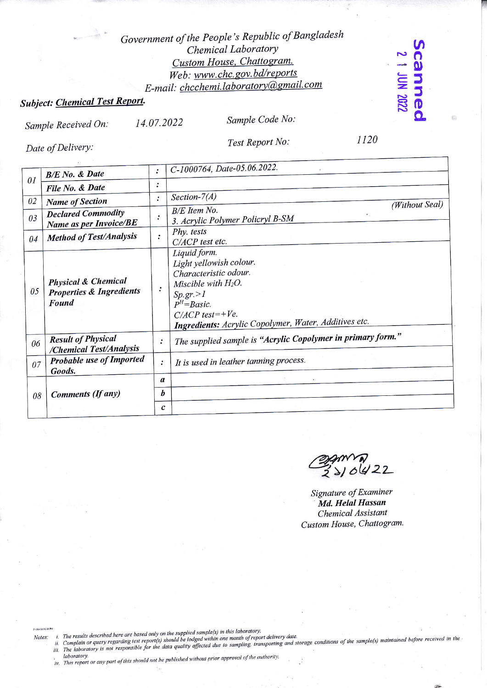### Government of the People's Republic of Bangladesh Chemical Laboratory Custom House, Chattogram. Web: www.chc.gov.bd/reports E-mail: chcchemi.laboratory@gmail.com

## **Subject: Chemical Test Report.**

Date of Delivery:

**Scannec** 

14.07.2022 Sample Received On:

Sample Code No: Test Report No:

1120

| 01 | <b>B/E</b> No. & Date                                                          | $\ddot{\cdot}$            | C-1000764, Date-05.06.2022.                                                                                                                                                                                 |
|----|--------------------------------------------------------------------------------|---------------------------|-------------------------------------------------------------------------------------------------------------------------------------------------------------------------------------------------------------|
|    | File No. & Date                                                                | :                         |                                                                                                                                                                                                             |
| 02 | <b>Name of Section</b>                                                         | $\ddot{\cdot}$            | Section- $7(A)$<br>(Without Seal)                                                                                                                                                                           |
| 03 | <b>Declared Commodity</b><br>Name as per Invoice/BE                            | .<br>$\ddot{\phantom{a}}$ | $B/E$ Item No.<br>$\mathbf{r}$<br>3. Acrylic Polymer Policryl B-SM                                                                                                                                          |
| 04 | <b>Method of Test/Analysis</b>                                                 | $\bullet$                 | Phy. tests<br>C/ACP test etc.                                                                                                                                                                               |
| 05 | <b>Physical &amp; Chemical</b><br><b>Properties &amp; Ingredients</b><br>Found | $\rlap{.}^{\circ}$        | Liquid form.<br>Light yellowish colour.<br>Characteristic odour.<br>Miscible with $H_2O$ .<br>Sp.gr. > 1<br>$P^{H} = Basic$ .<br>$C/ACP$ test=+Ve.<br>Ingredients: Acrylic Copolymer, Water, Additives etc. |
| 06 | <b>Result of Physical</b><br>/Chemical Test/Analysis                           | $\ddot{\cdot}$            | The supplied sample is "Acrylic Copolymer in primary form."                                                                                                                                                 |
| 07 | Probable use of Imported<br>Goods.                                             | $\ddot{\cdot}$            | It is used in leather tanning process.                                                                                                                                                                      |
| 08 | Comments (If any)                                                              | a                         |                                                                                                                                                                                                             |
|    |                                                                                | b                         |                                                                                                                                                                                                             |
|    |                                                                                | $\boldsymbol{c}$          |                                                                                                                                                                                                             |

SALLAN KA

Signature of Examiner Md. Helal Hassan **Chemical Assistant** Custom House, Chattogram.

21-Jun-22 12:26 PM

i. The results described here are based only on the supplied sample(s) in this laboratory.<br>ii. Complain or query regarding test report(s) should be lodged within one month of report delivery date.<br>iii. The laboratory is no Notes:

iv. This report or any part of this should not be published without prior approval of the authority.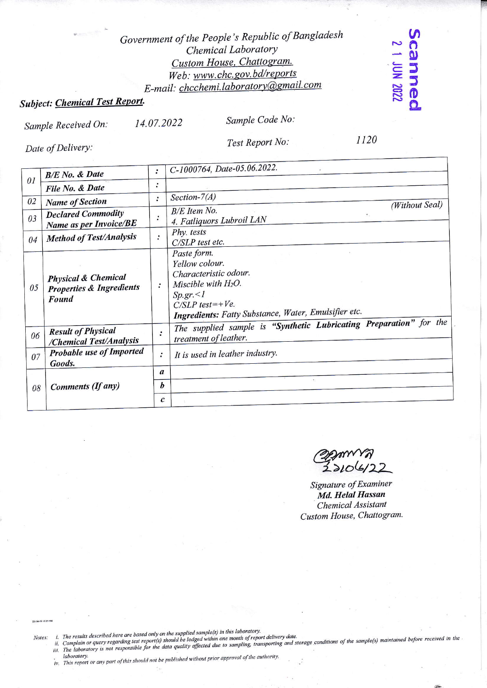### Government of the People's Republic of Bangladesh Chemical Laboratory Custom House, Chattogram. Web: www.chc.gov.bd/reports E-mail: chcchemi.laboratory@gmail.com

# **Subject: Chemical Test Report.**

14.07.2022 Sample Received On:

Sample Code No:

Date of Delivery:

Test Report No:

1120

**SCAMMAGC** 

| 01 | <b>B/E</b> No. & Date                                                                 | $\ddot{\cdot}$             | C-1000764, Date-05.06.2022.                                                                                                                                                      |
|----|---------------------------------------------------------------------------------------|----------------------------|----------------------------------------------------------------------------------------------------------------------------------------------------------------------------------|
|    | File No. & Date                                                                       | ٠<br>٠                     |                                                                                                                                                                                  |
| 02 | <b>Name of Section</b>                                                                | :                          | Section- $7(A)$<br>(Without Seal)                                                                                                                                                |
| 03 | <b>Declared Commodity</b><br>Name as per Invoice/BE                                   | .<br>$\hfill \blacksquare$ | <b>B/E</b> Item No.<br>4. Fatliquors Lubroil LAN                                                                                                                                 |
| 04 | <b>Method of Test/Analysis</b>                                                        | $\ddot{\cdot}$             | Phy. tests<br>C/SLP test etc.                                                                                                                                                    |
| 05 | <b>Physical &amp; Chemical</b><br><b>Properties &amp; Ingredients</b><br><b>Found</b> | $\cdot$                    | Paste form.<br>Yellow colour.<br>Characteristic odour.<br>Miscible with $H_2O$ .<br>$Sp.gr. \leq l$<br>$C/SLP$ test=+Ve.<br>Ingredients: Fatty Substance, Water, Emulsifier etc. |
| 06 | <b>Result of Physical</b><br>/Chemical Test/Analysis                                  | $\ddot{\cdot}$             | The supplied sample is "Synthetic Lubricating Preparation" for the<br>treatment of leather.                                                                                      |
| 07 | <b>Probable use of Imported</b><br>Goods.                                             | $\ddot{\cdot}$             | It is used in leather industry.                                                                                                                                                  |
| 08 | Comments (If any)                                                                     | $\boldsymbol{a}$           |                                                                                                                                                                                  |
|    |                                                                                       | b                          |                                                                                                                                                                                  |
|    |                                                                                       | $\boldsymbol{c}$           |                                                                                                                                                                                  |

Signature of Examiner Md. Helal Hassan **Chemical Assistant** Custom House, Chattogram.

21-Jun-22 12:25 PM

i. The results described here are based only on the supplied sample(s) in this laboratory.<br>ii. Complain or query regarding test report(s) should be lodged within one month of report delivery date.<br>iii. The laboratory is no Notes:

iv. This report or any part of this should not be published without prior approval of the authority.